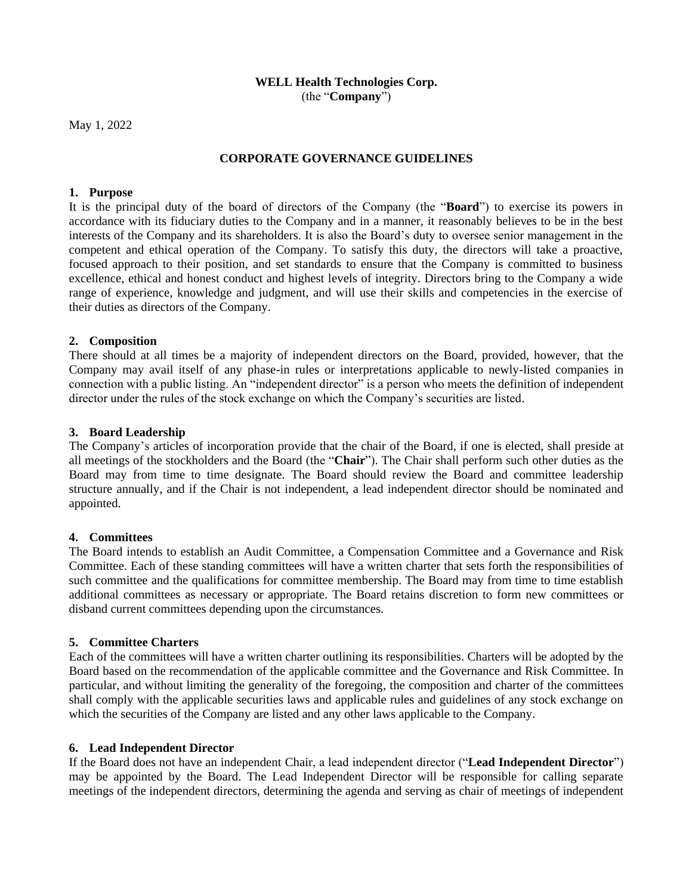### **WELL Health Technologies Corp.** (the "**Company**")

May 1, 2022

# **CORPORATE GOVERNANCE GUIDELINES**

### **1. Purpose**

It is the principal duty of the board of directors of the Company (the "**Board**") to exercise its powers in accordance with its fiduciary duties to the Company and in a manner, it reasonably believes to be in the best interests of the Company and its shareholders. It is also the Board's duty to oversee senior management in the competent and ethical operation of the Company. To satisfy this duty, the directors will take a proactive, focused approach to their position, and set standards to ensure that the Company is committed to business excellence, ethical and honest conduct and highest levels of integrity. Directors bring to the Company a wide range of experience, knowledge and judgment, and will use their skills and competencies in the exercise of their duties as directors of the Company.

## **2. Composition**

There should at all times be a majority of independent directors on the Board, provided, however, that the Company may avail itself of any phase-in rules or interpretations applicable to newly-listed companies in connection with a public listing. An "independent director" is a person who meets the definition of independent director under the rules of the stock exchange on which the Company's securities are listed.

### **3. Board Leadership**

The Company's articles of incorporation provide that the chair of the Board, if one is elected, shall preside at all meetings of the stockholders and the Board (the "**Chair**"). The Chair shall perform such other duties as the Board may from time to time designate. The Board should review the Board and committee leadership structure annually, and if the Chair is not independent, a lead independent director should be nominated and appointed.

## **4. Committees**

The Board intends to establish an Audit Committee, a Compensation Committee and a Governance and Risk Committee. Each of these standing committees will have a written charter that sets forth the responsibilities of such committee and the qualifications for committee membership. The Board may from time to time establish additional committees as necessary or appropriate. The Board retains discretion to form new committees or disband current committees depending upon the circumstances.

#### **5. Committee Charters**

Each of the committees will have a written charter outlining its responsibilities. Charters will be adopted by the Board based on the recommendation of the applicable committee and the Governance and Risk Committee. In particular, and without limiting the generality of the foregoing, the composition and charter of the committees shall comply with the applicable securities laws and applicable rules and guidelines of any stock exchange on which the securities of the Company are listed and any other laws applicable to the Company.

#### **6. Lead Independent Director**

If the Board does not have an independent Chair, a lead independent director ("**Lead Independent Director**") may be appointed by the Board. The Lead Independent Director will be responsible for calling separate meetings of the independent directors, determining the agenda and serving as chair of meetings of independent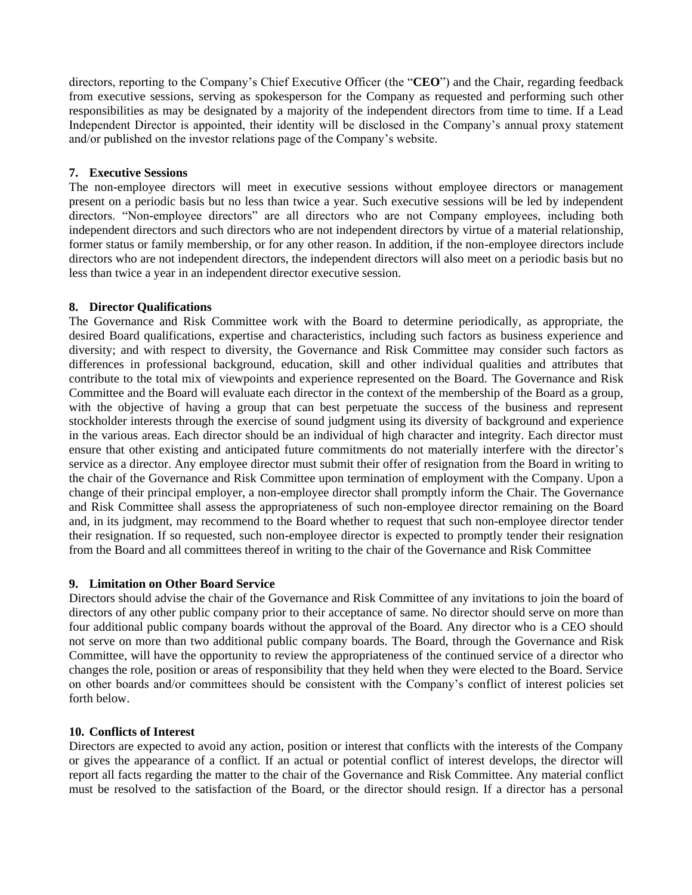directors, reporting to the Company's Chief Executive Officer (the "**CEO**") and the Chair, regarding feedback from executive sessions, serving as spokesperson for the Company as requested and performing such other responsibilities as may be designated by a majority of the independent directors from time to time. If a Lead Independent Director is appointed, their identity will be disclosed in the Company's annual proxy statement and/or published on the investor relations page of the Company's website.

### **7. Executive Sessions**

The non-employee directors will meet in executive sessions without employee directors or management present on a periodic basis but no less than twice a year. Such executive sessions will be led by independent directors. "Non-employee directors" are all directors who are not Company employees, including both independent directors and such directors who are not independent directors by virtue of a material relationship, former status or family membership, or for any other reason. In addition, if the non-employee directors include directors who are not independent directors, the independent directors will also meet on a periodic basis but no less than twice a year in an independent director executive session.

## **8. Director Qualifications**

The Governance and Risk Committee work with the Board to determine periodically, as appropriate, the desired Board qualifications, expertise and characteristics, including such factors as business experience and diversity; and with respect to diversity, the Governance and Risk Committee may consider such factors as differences in professional background, education, skill and other individual qualities and attributes that contribute to the total mix of viewpoints and experience represented on the Board. The Governance and Risk Committee and the Board will evaluate each director in the context of the membership of the Board as a group, with the objective of having a group that can best perpetuate the success of the business and represent stockholder interests through the exercise of sound judgment using its diversity of background and experience in the various areas. Each director should be an individual of high character and integrity. Each director must ensure that other existing and anticipated future commitments do not materially interfere with the director's service as a director. Any employee director must submit their offer of resignation from the Board in writing to the chair of the Governance and Risk Committee upon termination of employment with the Company. Upon a change of their principal employer, a non-employee director shall promptly inform the Chair. The Governance and Risk Committee shall assess the appropriateness of such non-employee director remaining on the Board and, in its judgment, may recommend to the Board whether to request that such non-employee director tender their resignation. If so requested, such non-employee director is expected to promptly tender their resignation from the Board and all committees thereof in writing to the chair of the Governance and Risk Committee

## **9. Limitation on Other Board Service**

Directors should advise the chair of the Governance and Risk Committee of any invitations to join the board of directors of any other public company prior to their acceptance of same. No director should serve on more than four additional public company boards without the approval of the Board. Any director who is a CEO should not serve on more than two additional public company boards. The Board, through the Governance and Risk Committee, will have the opportunity to review the appropriateness of the continued service of a director who changes the role, position or areas of responsibility that they held when they were elected to the Board. Service on other boards and/or committees should be consistent with the Company's conflict of interest policies set forth below.

## **10. Conflicts of Interest**

Directors are expected to avoid any action, position or interest that conflicts with the interests of the Company or gives the appearance of a conflict. If an actual or potential conflict of interest develops, the director will report all facts regarding the matter to the chair of the Governance and Risk Committee. Any material conflict must be resolved to the satisfaction of the Board, or the director should resign. If a director has a personal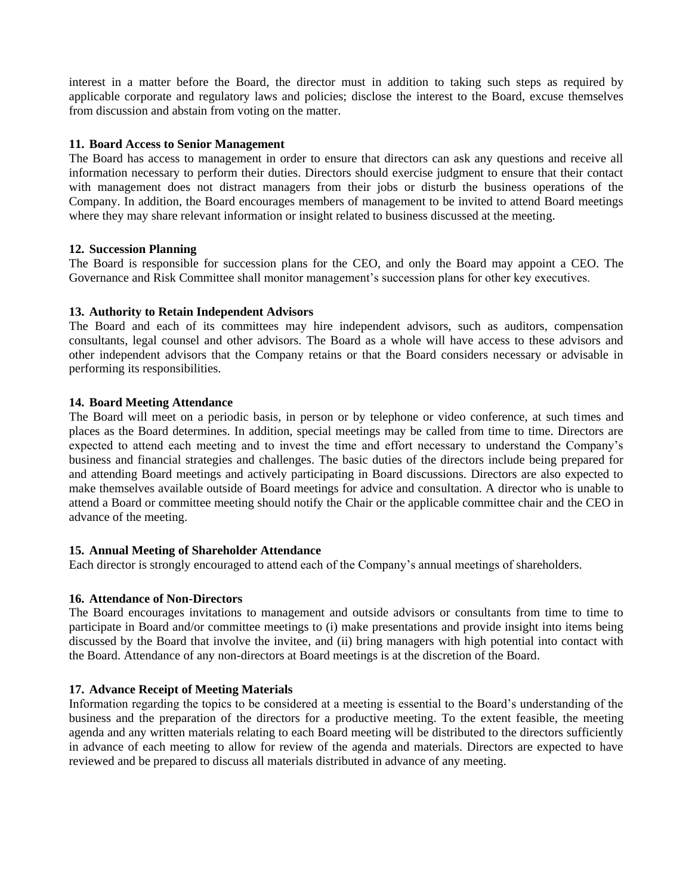interest in a matter before the Board, the director must in addition to taking such steps as required by applicable corporate and regulatory laws and policies; disclose the interest to the Board, excuse themselves from discussion and abstain from voting on the matter.

### **11. Board Access to Senior Management**

The Board has access to management in order to ensure that directors can ask any questions and receive all information necessary to perform their duties. Directors should exercise judgment to ensure that their contact with management does not distract managers from their jobs or disturb the business operations of the Company. In addition, the Board encourages members of management to be invited to attend Board meetings where they may share relevant information or insight related to business discussed at the meeting.

### **12. Succession Planning**

The Board is responsible for succession plans for the CEO, and only the Board may appoint a CEO. The Governance and Risk Committee shall monitor management's succession plans for other key executives.

## **13. Authority to Retain Independent Advisors**

The Board and each of its committees may hire independent advisors, such as auditors, compensation consultants, legal counsel and other advisors. The Board as a whole will have access to these advisors and other independent advisors that the Company retains or that the Board considers necessary or advisable in performing its responsibilities.

### **14. Board Meeting Attendance**

The Board will meet on a periodic basis, in person or by telephone or video conference, at such times and places as the Board determines. In addition, special meetings may be called from time to time. Directors are expected to attend each meeting and to invest the time and effort necessary to understand the Company's business and financial strategies and challenges. The basic duties of the directors include being prepared for and attending Board meetings and actively participating in Board discussions. Directors are also expected to make themselves available outside of Board meetings for advice and consultation. A director who is unable to attend a Board or committee meeting should notify the Chair or the applicable committee chair and the CEO in advance of the meeting.

## **15. Annual Meeting of Shareholder Attendance**

Each director is strongly encouraged to attend each of the Company's annual meetings of shareholders.

## **16. Attendance of Non-Directors**

The Board encourages invitations to management and outside advisors or consultants from time to time to participate in Board and/or committee meetings to (i) make presentations and provide insight into items being discussed by the Board that involve the invitee, and (ii) bring managers with high potential into contact with the Board. Attendance of any non-directors at Board meetings is at the discretion of the Board.

## **17. Advance Receipt of Meeting Materials**

Information regarding the topics to be considered at a meeting is essential to the Board's understanding of the business and the preparation of the directors for a productive meeting. To the extent feasible, the meeting agenda and any written materials relating to each Board meeting will be distributed to the directors sufficiently in advance of each meeting to allow for review of the agenda and materials. Directors are expected to have reviewed and be prepared to discuss all materials distributed in advance of any meeting.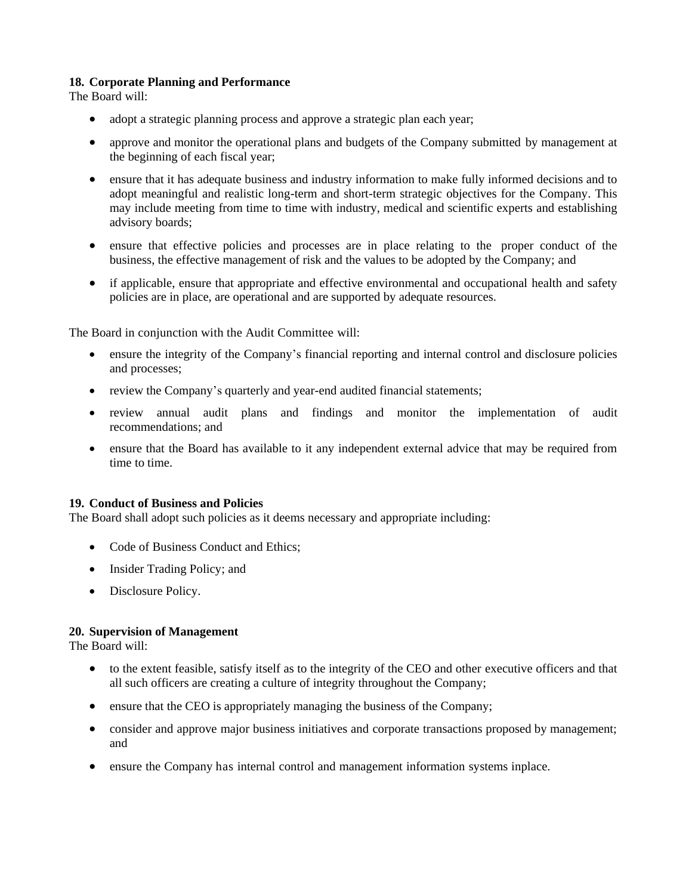# **18. Corporate Planning and Performance**

The Board will:

- adopt a strategic planning process and approve a strategic plan each year;
- approve and monitor the operational plans and budgets of the Company submitted by management at the beginning of each fiscal year;
- ensure that it has adequate business and industry information to make fully informed decisions and to adopt meaningful and realistic long-term and short-term strategic objectives for the Company. This may include meeting from time to time with industry, medical and scientific experts and establishing advisory boards;
- ensure that effective policies and processes are in place relating to the proper conduct of the business, the effective management of risk and the values to be adopted by the Company; and
- if applicable, ensure that appropriate and effective environmental and occupational health and safety policies are in place, are operational and are supported by adequate resources.

The Board in conjunction with the Audit Committee will:

- ensure the integrity of the Company's financial reporting and internal control and disclosure policies and processes;
- review the Company's quarterly and year-end audited financial statements;
- review annual audit plans and findings and monitor the implementation of audit recommendations; and
- ensure that the Board has available to it any independent external advice that may be required from time to time.

#### **19. Conduct of Business and Policies**

The Board shall adopt such policies as it deems necessary and appropriate including:

- Code of Business Conduct and Ethics:
- Insider Trading Policy; and
- Disclosure Policy.

## **20. Supervision of Management**

The Board will:

- to the extent feasible, satisfy itself as to the integrity of the CEO and other executive officers and that all such officers are creating a culture of integrity throughout the Company;
- ensure that the CEO is appropriately managing the business of the Company;
- consider and approve major business initiatives and corporate transactions proposed by management; and
- ensure the Company has internal control and management information systems inplace.